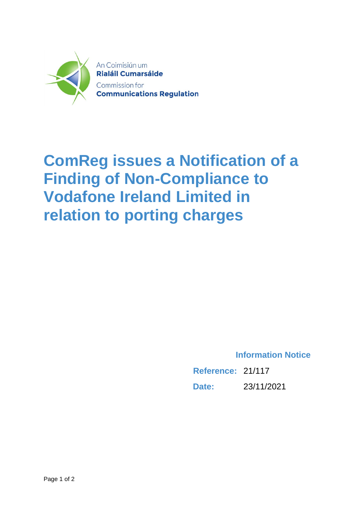

## **ComReg issues a Notification of a Finding of Non-Compliance to Vodafone Ireland Limited in relation to porting charges**

**Information Notice**

**Reference:** 21/117 **Date:** 23/11/2021